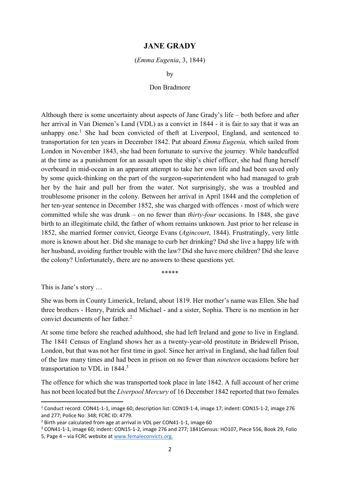## JANE GRADY

## (Emma Eugenia, 3, 1844)

by

## Don Bradmore

Although there is some uncertainty about aspects of Jane Grady's life – both before and after her arrival in Van Diemen's Land (VDL) as a convict in 1844 - it is fair to say that it was an unhappy one.<sup>1</sup> She had been convicted of theft at Liverpool, England, and sentenced to transportation for ten years in December 1842. Put aboard Emma Eugenia, which sailed from London in November 1843, she had been fortunate to survive the journey. While handcuffed at the time as a punishment for an assault upon the ship's chief officer, she had flung herself overboard in mid-ocean in an apparent attempt to take her own life and had been saved only by some quick-thinking on the part of the surgeon-superintendent who had managed to grab her by the hair and pull her from the water. Not surprisingly, she was a troubled and troublesome prisoner in the colony. Between her arrival in April 1844 and the completion of her ten-year sentence in December 1852, she was charged with offences - most of which were committed while she was drunk – on no fewer than thirty-four occasions. In 1848, she gave birth to an illegitimate child, the father of whom remains unknown. Just prior to her release in 1852, she married former convict, George Evans (Agincourt, 1844). Frustratingly, very little more is known about her. Did she manage to curb her drinking? Did she live a happy life with her husband, avoiding further trouble with the law? Did she have more children? Did she leave the colony? Unfortunately, there are no answers to these questions yet.

\*\*\*\*\*

This is Jane's story …

-

She was born in County Limerick, Ireland, about 1819. Her mother's name was Ellen. She had three brothers - Henry, Patrick and Michael - and a sister, Sophia. There is no mention in her convict documents of her father.<sup>2</sup>

At some time before she reached adulthood, she had left Ireland and gone to live in England. The 1841 Census of England shows her as a twenty-year-old prostitute in Bridewell Prison, London, but that was not her first time in gaol. Since her arrival in England, she had fallen foul of the law many times and had been in prison on no fewer than nineteen occasions before her transportation to VDL in 1844.<sup>3</sup>

The offence for which she was transported took place in late 1842. A full account of her crime has not been located but the Liverpool Mercury of 16 December 1842 reported that two females

<sup>&</sup>lt;sup>1</sup> Conduct record: CON41-1-1, image 60; description list: CON19-1-4, image 17; indent: CON15-1-2, image 276 and 277; Police No: 348; FCRC ID: 4779.

<sup>&</sup>lt;sup>2</sup> Birth year calculated from age at arrival in VDL per CON41-1-1, image 60

<sup>&</sup>lt;sup>3</sup> CON41-1-1, image 60; indent: CON15-1-2, image 276 and 277; 1841Census: HO107, Piece 556, Book 29, Folio

<sup>5,</sup> Page 4 – via FCRC website at www.femaleconvicts.org.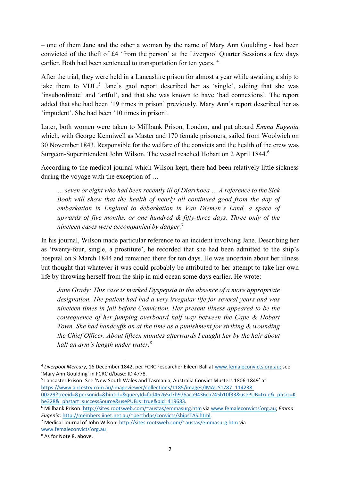– one of them Jane and the other a woman by the name of Mary Ann Goulding - had been convicted of the theft of £4 'from the person' at the Liverpool Quarter Sessions a few days earlier. Both had been sentenced to transportation for ten years. <sup>4</sup>

After the trial, they were held in a Lancashire prison for almost a year while awaiting a ship to take them to VDL.<sup>5</sup> Jane's gaol report described her as 'single', adding that she was 'insubordinate' and 'artful', and that she was known to have 'bad connexions'. The report added that she had been '19 times in prison' previously. Mary Ann's report described her as 'impudent'. She had been '10 times in prison'.

Later, both women were taken to Millbank Prison, London, and put aboard Emma Eugenia which, with George Kenniwell as Master and 170 female prisoners, sailed from Woolwich on 30 November 1843. Responsible for the welfare of the convicts and the health of the crew was Surgeon-Superintendent John Wilson. The vessel reached Hobart on 2 April 1844.<sup>6</sup>

According to the medical journal which Wilson kept, there had been relatively little sickness during the voyage with the exception of …

… seven or eight who had been recently ill of Diarrhoea … A reference to the Sick Book will show that the health of nearly all continued good from the day of embarkation in England to debarkation in Van Diemen's Land, a space of upwards of five months, or one hundred & fifty-three days. Three only of the nineteen cases were accompanied by danger.<sup>7</sup>

In his journal, Wilson made particular reference to an incident involving Jane. Describing her as 'twenty-four, single, a prostitute', he recorded that she had been admitted to the ship's hospital on 9 March 1844 and remained there for ten days. He was uncertain about her illness but thought that whatever it was could probably be attributed to her attempt to take her own life by throwing herself from the ship in mid ocean some days earlier. He wrote:

Jane Grady: This case is marked Dyspepsia in the absence of a more appropriate designation. The patient had had a very irregular life for several years and was nineteen times in jail before Conviction. Her present illness appeared to be the consequence of her jumping overboard half way between the Cape & Hobart Town. She had handcuffs on at the time as a punishment for striking & wounding the Chief Officer. About fifteen minutes afterwards I caught her by the hair about half an arm's length under water. $8$ 

5 Lancaster Prison: See 'New South Wales and Tasmania, Australia Convict Musters 1806-1849' at https://www.ancestry.com.au/imageviewer/collections/1185/images/IMAUS1787\_114238- 00229?treeid=&personid=&hintid=&queryId=fad46265d7b976aca9436cb245b10f33&usePUB=true&\_phsrc=K he328&\_phstart=successSource&usePUBJs=true&pId=419683.

<sup>4</sup> Liverpool Mercury, 16 December 1842, per FCRC researcher Eileen Ball at www.femaleconvicts.org.au; see 'Mary Ann Goulding' in FCRC d/base: ID 4778.

<sup>&</sup>lt;sup>6</sup> Millbank Prison: http://sites.rootsweb.com/~austas/emmasurg.htm via www.femaleconvicts'org.au; Emma Eugenia: http://members.iinet.net.au/~perthdps/convicts/shipsTAS.html.

<sup>&</sup>lt;sup>7</sup> Medical Journal of John Wilson: http://sites.rootsweb.com/~austas/emmasurg.htm via www.femaleconvicts'org.au

<sup>&</sup>lt;sup>8</sup> As for Note 8, above.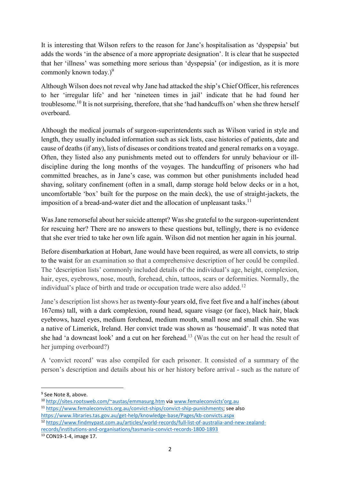It is interesting that Wilson refers to the reason for Jane's hospitalisation as 'dyspepsia' but adds the words 'in the absence of a more appropriate designation'. It is clear that he suspected that her 'illness' was something more serious than 'dyspepsia' (or indigestion, as it is more commonly known today.) $9^9$ 

Although Wilson does not reveal why Jane had attacked the ship's Chief Officer, his references to her 'irregular life' and her 'nineteen times in jail' indicate that he had found her troublesome.<sup>10</sup> It is not surprising, therefore, that she 'had handcuffs on' when she threw herself overboard.

Although the medical journals of surgeon-superintendents such as Wilson varied in style and length, they usually included information such as sick lists, case histories of patients, date and cause of deaths (if any), lists of diseases or conditions treated and general remarks on a voyage. Often, they listed also any punishments meted out to offenders for unruly behaviour or illdiscipline during the long months of the voyages. The handcuffing of prisoners who had committed breaches, as in Jane's case, was common but other punishments included head shaving, solitary confinement (often in a small, damp storage hold below decks or in a hot, uncomfortable 'box' built for the purpose on the main deck), the use of straight-jackets, the imposition of a bread-and-water diet and the allocation of unpleasant tasks.<sup>11</sup>

Was Jane remorseful about her suicide attempt? Was she grateful to the surgeon-superintendent for rescuing her? There are no answers to these questions but, tellingly, there is no evidence that she ever tried to take her own life again. Wilson did not mention her again in his journal.

Before disembarkation at Hobart, Jane would have been required, as were all convicts, to strip to the waist for an examination so that a comprehensive description of her could be compiled. The 'description lists' commonly included details of the individual's age, height, complexion, hair, eyes, eyebrows, nose, mouth, forehead, chin, tattoos, scars or deformities. Normally, the individual's place of birth and trade or occupation trade were also added.<sup>12</sup>

Jane's description list shows her as twenty-four years old, five feet five and a half inches (about 167cms) tall, with a dark complexion, round head, square visage (or face), black hair, black eyebrows, hazel eyes, medium forehead, medium mouth, small nose and small chin. She was a native of Limerick, Ireland. Her convict trade was shown as 'housemaid'. It was noted that she had 'a downcast look' and a cut on her forehead.<sup>13</sup> (Was the cut on her head the result of her jumping overboard?)

A 'convict record' was also compiled for each prisoner. It consisted of a summary of the person's description and details about his or her history before arrival - such as the nature of

<sup>&</sup>lt;sup>9</sup> See Note 8, above.

<sup>10</sup> http://sites.rootsweb.com/~austas/emmasurg.htm via www.femaleconvicts'org.au

<sup>11</sup> https://www.femaleconvicts.org.au/convict-ships/convict-ship-punishments; see also https://www.libraries.tas.gov.au/get-help/knowledge-base/Pages/kb-convicts.aspx

<sup>12</sup> https://www.findmypast.com.au/articles/world-records/full-list-of-australia-and-new-zealandrecords/institutions-and-organisations/tasmania-convict-records-1800-1893

<sup>13</sup> CON19-1-4, image 17.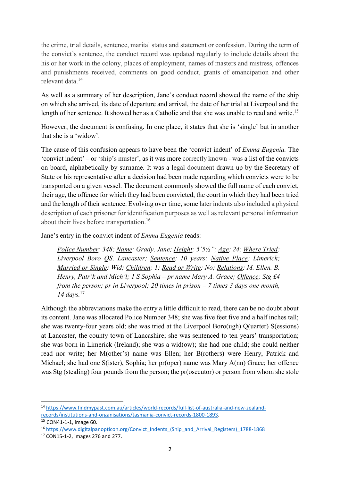the crime, trial details, sentence, marital status and statement or confession. During the term of the convict's sentence, the conduct record was updated regularly to include details about the his or her work in the colony, places of employment, names of masters and mistress, offences and punishments received, comments on good conduct, grants of emancipation and other relevant data.<sup>14</sup>

As well as a summary of her description, Jane's conduct record showed the name of the ship on which she arrived, its date of departure and arrival, the date of her trial at Liverpool and the length of her sentence. It showed her as a Catholic and that she was unable to read and write.<sup>15</sup>

However, the document is confusing. In one place, it states that she is 'single' but in another that she is a 'widow'.

The cause of this confusion appears to have been the 'convict indent' of *Emma Eugenia*. The 'convict indent' – or 'ship's muster', as it was more correctly known - was a list of the convicts on board, alphabetically by surname. It was a legal document drawn up by the Secretary of State or his representative after a decision had been made regarding which convicts were to be transported on a given vessel. The document commonly showed the full name of each convict, their age, the offence for which they had been convicted, the court in which they had been tried and the length of their sentence. Evolving over time, some later indents also included a physical description of each prisoner for identification purposes as well as relevant personal information about their lives before transportation.<sup>16</sup>

Jane's entry in the convict indent of Emma Eugenia reads:

Police Number: 348; Name: Grady, Jane; Height: 5'5½"; Age: 24; Where Tried: Liverpool Boro QS, Lancaster; Sentence: 10 years; Native Place: Limerick; Married or Single: Wid; Children: 1; Read or Write: No; Relations: M. Ellen. B. Henry, Patr'k and Mich'l; 1 S Sophia – pr name Mary A. Grace; Offence: Stg  $\pounds$ 4 from the person; pr in Liverpool; 20 times in prison  $-7$  times 3 days one month, 14 days. $17$ 

Although the abbreviations make the entry a little difficult to read, there can be no doubt about its content. Jane was allocated Police Number 348; she was five feet five and a half inches tall; she was twenty-four years old; she was tried at the Liverpool Boro(ugh) Q(uarter) S(essions) at Lancaster, the county town of Lancashire; she was sentenced to ten years' transportation; she was born in Limerick (Ireland); she was a wid(ow); she had one child; she could neither read nor write; her M(other's) name was Ellen; her B(rothers) were Henry, Patrick and Michael; she had one S(ister), Sophia; her pr(oper) name was Mary A(nn) Grace; her offence was Stg (stealing) four pounds from the person; the pr(osecutor) or person from whom she stole

<sup>14</sup> https://www.findmypast.com.au/articles/world-records/full-list-of-australia-and-new-zealandrecords/institutions-and-organisations/tasmania-convict-records-1800-1893.

<sup>15</sup> CON41-1-1, image 60.

<sup>16</sup> https://www.digitalpanopticon.org/Convict\_Indents\_(Ship\_and\_Arrival\_Registers)\_1788-1868

<sup>17</sup> CON15-1-2, images 276 and 277.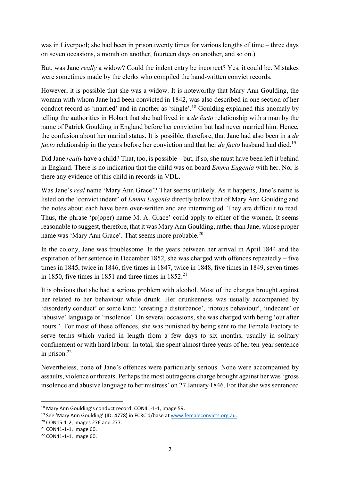was in Liverpool; she had been in prison twenty times for various lengths of time – three days on seven occasions, a month on another, fourteen days on another, and so on.)

But, was Jane really a widow? Could the indent entry be incorrect? Yes, it could be. Mistakes were sometimes made by the clerks who compiled the hand-written convict records.

However, it is possible that she was a widow. It is noteworthy that Mary Ann Goulding, the woman with whom Jane had been convicted in 1842, was also described in one section of her conduct record as 'married' and in another as 'single'.<sup>18</sup> Goulding explained this anomaly by telling the authorities in Hobart that she had lived in a de facto relationship with a man by the name of Patrick Goulding in England before her conviction but had never married him. Hence, the confusion about her marital status. It is possible, therefore, that Jane had also been in a de facto relationship in the years before her conviction and that her *de facto* husband had died.<sup>19</sup>

Did Jane *really* have a child? That, too, is possible – but, if so, she must have been left it behind in England. There is no indication that the child was on board Emma Eugenia with her. Nor is there any evidence of this child in records in VDL.

Was Jane's *real* name 'Mary Ann Grace'? That seems unlikely. As it happens, Jane's name is listed on the 'convict indent' of *Emma Eugenia* directly below that of Mary Ann Goulding and the notes about each have been over-written and are intermingled. They are difficult to read. Thus, the phrase 'pr(oper) name M. A. Grace' could apply to either of the women. It seems reasonable to suggest, therefore, that it was Mary Ann Goulding, rather than Jane, whose proper name was 'Mary Ann Grace'. That seems more probable.<sup>20</sup>

In the colony, Jane was troublesome. In the years between her arrival in April 1844 and the expiration of her sentence in December 1852, she was charged with offences repeatedly – five times in 1845, twice in 1846, five times in 1847, twice in 1848, five times in 1849, seven times in 1850, five times in 1851 and three times in  $1852.<sup>21</sup>$ 

It is obvious that she had a serious problem with alcohol. Most of the charges brought against her related to her behaviour while drunk. Her drunkenness was usually accompanied by 'disorderly conduct' or some kind: 'creating a disturbance', 'riotous behaviour', 'indecent' or 'abusive' language or 'insolence'. On several occasions, she was charged with being 'out after hours.' For most of these offences, she was punished by being sent to the Female Factory to serve terms which varied in length from a few days to six months, usually in solitary confinement or with hard labour. In total, she spent almost three years of her ten-year sentence in prison.<sup>22</sup>

Nevertheless, none of Jane's offences were particularly serious. None were accompanied by assaults, violence or threats. Perhaps the most outrageous charge brought against her was 'gross insolence and abusive language to her mistress' on 27 January 1846. For that she was sentenced

<sup>18</sup> Mary Ann Goulding's conduct record: CON41-1-1, image 59.

<sup>19</sup> See 'Mary Ann Goulding' (ID: 4778) in FCRC d/base at www.femaleconvicts.org.au.

<sup>20</sup> CON15-1-2, images 276 and 277.

<sup>21</sup> CON41-1-1, image 60.

<sup>22</sup> CON41-1-1, image 60.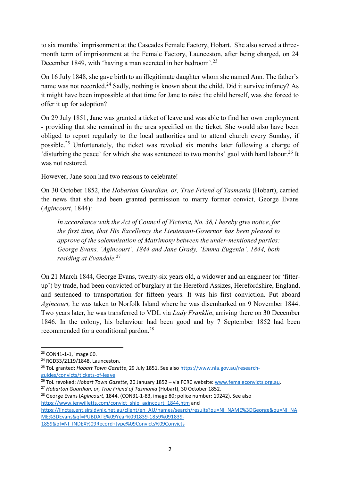to six months' imprisonment at the Cascades Female Factory, Hobart. She also served a threemonth term of imprisonment at the Female Factory, Launceston, after being charged, on 24 December 1849, with 'having a man secreted in her bedroom'.<sup>23</sup>

On 16 July 1848, she gave birth to an illegitimate daughter whom she named Ann. The father's name was not recorded.<sup>24</sup> Sadly, nothing is known about the child. Did it survive infancy? As it might have been impossible at that time for Jane to raise the child herself, was she forced to offer it up for adoption?

On 29 July 1851, Jane was granted a ticket of leave and was able to find her own employment - providing that she remained in the area specified on the ticket. She would also have been obliged to report regularly to the local authorities and to attend church every Sunday, if possible.<sup>25</sup> Unfortunately, the ticket was revoked six months later following a charge of 'disturbing the peace' for which she was sentenced to two months' gaol with hard labour.<sup>26</sup> It was not restored.

However, Jane soon had two reasons to celebrate!

On 30 October 1852, the Hobarton Guardian, or, True Friend of Tasmania (Hobart), carried the news that she had been granted permission to marry former convict, George Evans (Agincourt, 1844):

In accordance with the Act of Council of Victoria, No. 38,1 hereby give notice, for the first time, that His Excellency the Lieutenant-Governor has been pleased to approve of the solemnisation of Matrimony between the under-mentioned parties: George Evans, 'Agincourt', 1844 and Jane Grady, 'Emma Eugenia', 1844, both residing at Evandale.<sup>27</sup>

On 21 March 1844, George Evans, twenty-six years old, a widower and an engineer (or 'fitterup') by trade, had been convicted of burglary at the Hereford Assizes, Herefordshire, England, and sentenced to transportation for fifteen years. It was his first conviction. Put aboard Agincourt, he was taken to Norfolk Island where he was disembarked on 9 November 1844. Two years later, he was transferred to VDL via Lady Franklin, arriving there on 30 December 1846. In the colony, his behaviour had been good and by 7 September 1852 had been recommended for a conditional pardon.<sup>28</sup>

-

ME%3DEvans&qf=PUBDATE%09Year%091839-1859%091839- 1859&qf=NI\_INDEX%09Record+type%09Convicts%09Convicts

<sup>23</sup> CON41-1-1, image 60.

<sup>24</sup> RGD33/2119/1848, Launceston.

<sup>&</sup>lt;sup>25</sup> ToL granted: Hobart Town Gazette, 29 July 1851. See also https://www.nla.gov.au/researchguides/convicts/tickets-of-leave

<sup>&</sup>lt;sup>26</sup> ToL revoked: Hobart Town Gazette, 20 January 1852 – via FCRC website: www.femaleconvicts.org.au.

<sup>&</sup>lt;sup>27</sup> Hobarton Guardian, or, True Friend of Tasmania (Hobart), 30 October 1852.

<sup>&</sup>lt;sup>28</sup> George Evans (Agincourt, 1844. (CON31-1-83, image 80; police number: 19242). See also https://www.jenwilletts.com/convict\_ship\_agincourt\_1844.htm and https://linctas.ent.sirsidynix.net.au/client/en\_AU/names/search/results?qu=NI\_NAME%3DGeorge&qu=NI\_NA